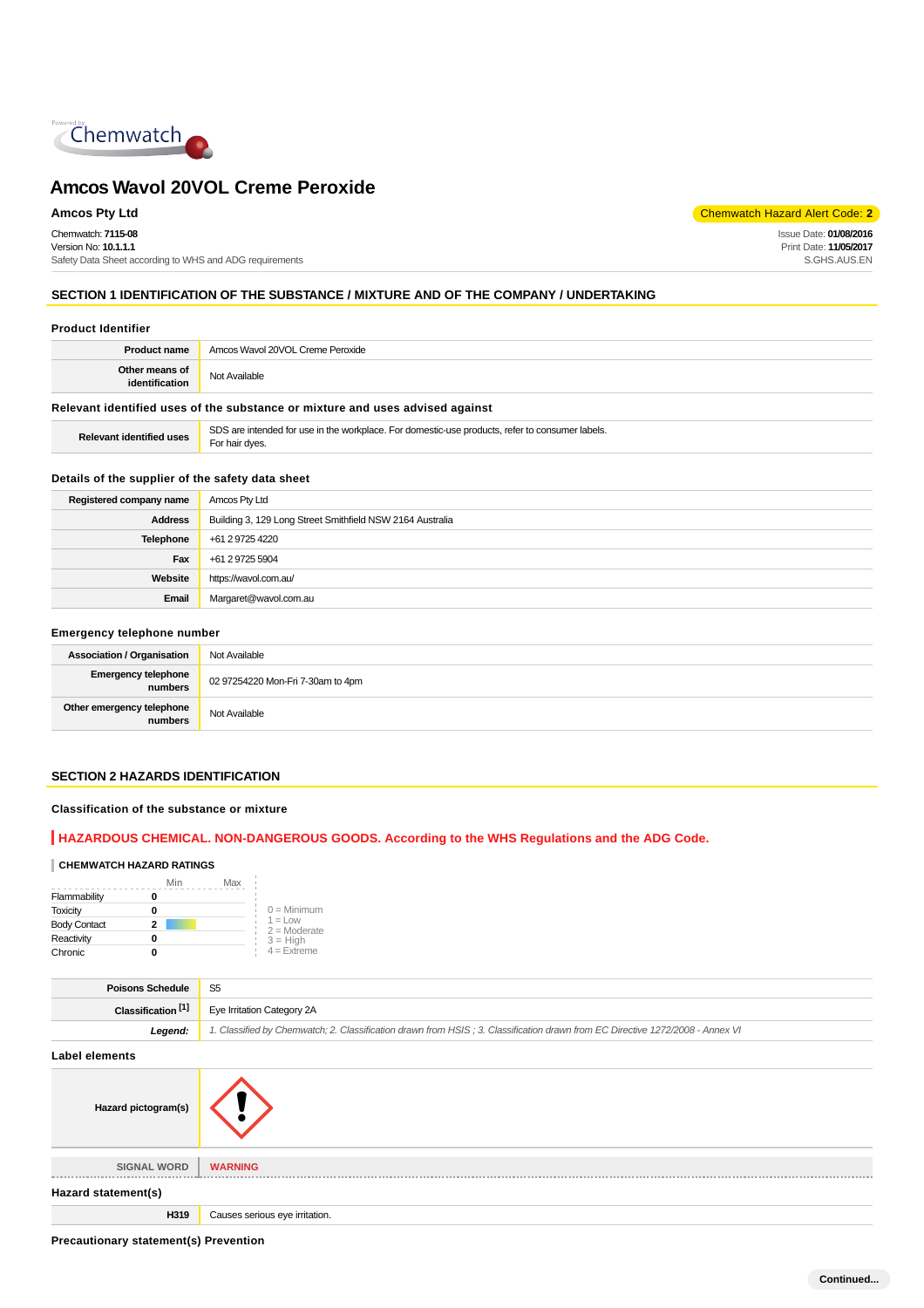

Chemwatch: **7115-08** Version No: **10.1.1.1**

Safety Data Sheet according to WHS and ADG requirements

**Amcos Pty Ltd** Chemwatch Hazard Alert Code: **2** 

Issue Date: **01/08/2016** Print Date: **11/05/2017** S.GHS.AUS.EN

## **SECTION 1 IDENTIFICATION OF THE SUBSTANCE / MIXTURE AND OF THE COMPANY / UNDERTAKING**

## **Product Identifier**

| <b>Product name</b>              | Amcos Wavol 20VOL Creme Peroxide |
|----------------------------------|----------------------------------|
| Other means of<br>identification | Not Available                    |
|                                  |                                  |

## **Relevant identified uses of the substance or mixture and uses advised against**

| <b>Relevant identified uses</b> | SDS are intended for use in the workplace. For domestic-use products, refer to consumer labels.<br>For hair dves. |
|---------------------------------|-------------------------------------------------------------------------------------------------------------------|
|---------------------------------|-------------------------------------------------------------------------------------------------------------------|

### **Details of the supplier of the safety data sheet**

| Registered company name | Amcos Pty Ltd                                             |
|-------------------------|-----------------------------------------------------------|
| <b>Address</b>          | Building 3, 129 Long Street Smithfield NSW 2164 Australia |
| Telephone               | +61 2 9725 4220                                           |
| Fax                     | +61 2 9725 5904                                           |
| Website                 | https://wavol.com.au/                                     |
| Email                   | Margaret@wavol.com.au                                     |

#### **Emergency telephone number**

| <b>Association / Organisation</b>    | Not Available                     |
|--------------------------------------|-----------------------------------|
| Emergency telephone<br>numbers       | 02 97254220 Mon-Fri 7-30am to 4pm |
| Other emergency telephone<br>numbers | Not Available                     |

## **SECTION 2 HAZARDS IDENTIFICATION**

#### **Classification of the substance or mixture**

## **HAZARDOUS CHEMICAL. NON-DANGEROUS GOODS. According to the WHS Regulations and the ADG Code.**

#### **CHEMWATCH HAZARD RATINGS**

|                     | Min | Max |                             |
|---------------------|-----|-----|-----------------------------|
| Flammability        |     |     |                             |
| <b>Toxicity</b>     |     |     | $0 =$ Minimum               |
| <b>Body Contact</b> | 2   |     | $1 =$ Low<br>$2 =$ Moderate |
| Reactivity          |     |     | $3 = High$                  |
| Chronic             |     |     | $4$ = Extreme               |

| <b>Poisons Schedule</b>       | S <sub>5</sub>                                                                                                                |
|-------------------------------|-------------------------------------------------------------------------------------------------------------------------------|
| Classification <sup>[1]</sup> | Eye Irritation Category 2A                                                                                                    |
| Legend:                       | 1. Classified by Chemwatch; 2. Classification drawn from HSIS; 3. Classification drawn from EC Directive 1272/2008 - Annex VI |
| <b>Label elements</b>         |                                                                                                                               |
| Hazard pictogram(s)           |                                                                                                                               |
| <b>SIGNAL WORD</b>            | <b>WARNING</b>                                                                                                                |
| Hazard statement(s)           |                                                                                                                               |
| H319                          | Causes serious eye irritation.                                                                                                |

**Precautionary statement(s) Prevention**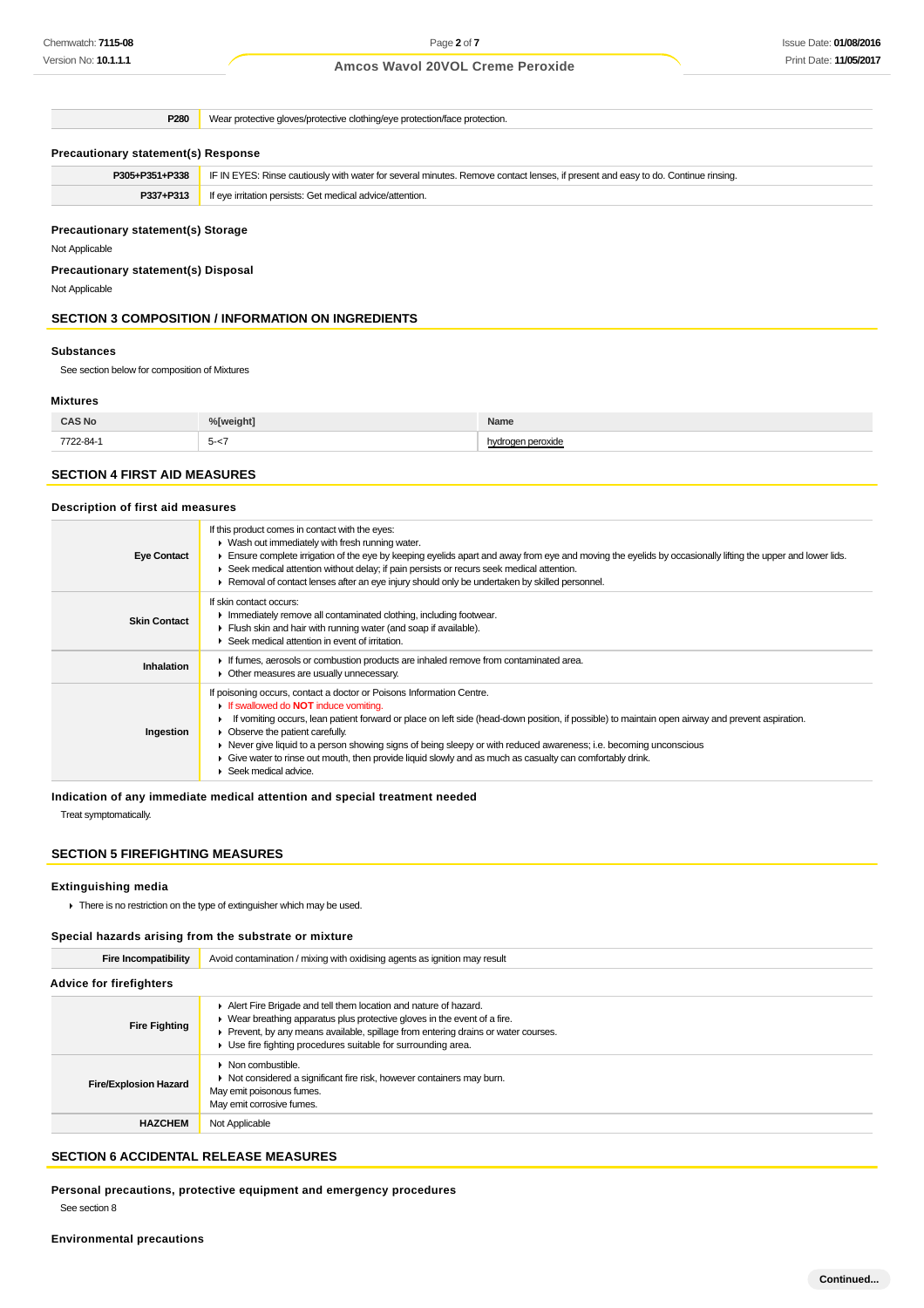## Issue Date: **01/08/2016** Print Date: **11/05/2017**

## **Amcos Wavol 20VOL Creme Peroxide**

**P280** Wear protective gloves/protective clothing/eye protection/face protection.

#### **Precautionary statement(s) Response**

| P305+P351+P338 | IF IN EYES: Rinse cautiously with water for several minutes. Remove contact lenses, if present and easy to do. Continue rinsing. |
|----------------|----------------------------------------------------------------------------------------------------------------------------------|
| P337+P313      | If eye irritation persists: Get medical advice/attention.                                                                        |
|                |                                                                                                                                  |

## **Precautionary statement(s) Storage**

Not Applicable

**Precautionary statement(s) Disposal**

Not Applicable

## **SECTION 3 COMPOSITION / INFORMATION ON INGREDIENTS**

#### **Substances**

See section below for composition of Mixtures

#### **Mixtures**

| <b>CAS No</b> | <sup>o</sup> / weight      | Name          |
|---------------|----------------------------|---------------|
| 7722-84-1     | 5.-<br>J-<br>$\sim$ $\sim$ | oaen peroxide |

## **SECTION 4 FIRST AID MEASURES**

## **Description of first aid measures**

| <b>Eye Contact</b>  | If this product comes in contact with the eyes:<br>• Wash out immediately with fresh running water.<br>Ensure complete irrigation of the eye by keeping eyelids apart and away from eye and moving the eyelids by occasionally lifting the upper and lower lids.<br>► Seek medical attention without delay; if pain persists or recurs seek medical attention.<br>► Removal of contact lenses after an eye injury should only be undertaken by skilled personnel.                                                                                                     |
|---------------------|-----------------------------------------------------------------------------------------------------------------------------------------------------------------------------------------------------------------------------------------------------------------------------------------------------------------------------------------------------------------------------------------------------------------------------------------------------------------------------------------------------------------------------------------------------------------------|
| <b>Skin Contact</b> | If skin contact occurs:<br>In mediately remove all contaminated clothing, including footwear.<br>Flush skin and hair with running water (and soap if available).<br>Seek medical attention in event of irritation.                                                                                                                                                                                                                                                                                                                                                    |
| <b>Inhalation</b>   | If fumes, aerosols or combustion products are inhaled remove from contaminated area.<br>• Other measures are usually unnecessary.                                                                                                                                                                                                                                                                                                                                                                                                                                     |
| Ingestion           | If poisoning occurs, contact a doctor or Poisons Information Centre.<br>If swallowed do <b>NOT</b> induce vomiting.<br>If vomiting occurs, lean patient forward or place on left side (head-down position, if possible) to maintain open airway and prevent aspiration.<br>• Observe the patient carefully.<br>▶ Never give liquid to a person showing signs of being sleepy or with reduced awareness; i.e. becoming unconscious<br>Give water to rinse out mouth, then provide liquid slowly and as much as casualty can comfortably drink.<br>Seek medical advice. |

## **Indication of any immediate medical attention and special treatment needed**

Treat symptomatically.

#### **SECTION 5 FIREFIGHTING MEASURES**

#### **Extinguishing media**

 $\blacktriangleright$  There is no restriction on the type of extinguisher which may be used.

#### **Special hazards arising from the substrate or mixture**

| Fire Incompatibility           | Avoid contamination / mixing with oxidising agents as ignition may result                                                                                                                                                                                                                       |  |
|--------------------------------|-------------------------------------------------------------------------------------------------------------------------------------------------------------------------------------------------------------------------------------------------------------------------------------------------|--|
| <b>Advice for firefighters</b> |                                                                                                                                                                                                                                                                                                 |  |
| <b>Fire Fighting</b>           | Alert Fire Brigade and tell them location and nature of hazard.<br>• Wear breathing apparatus plus protective gloves in the event of a fire.<br>Prevent, by any means available, spillage from entering drains or water courses.<br>Use fire fighting procedures suitable for surrounding area. |  |
| <b>Fire/Explosion Hazard</b>   | $\triangleright$ Non combustible.<br>• Not considered a significant fire risk, however containers may burn.<br>May emit poisonous fumes.<br>May emit corrosive fumes.                                                                                                                           |  |
| <b>HAZCHEM</b>                 | Not Applicable                                                                                                                                                                                                                                                                                  |  |

## **SECTION 6 ACCIDENTAL RELEASE MEASURES**

**Personal precautions, protective equipment and emergency procedures**

See section 8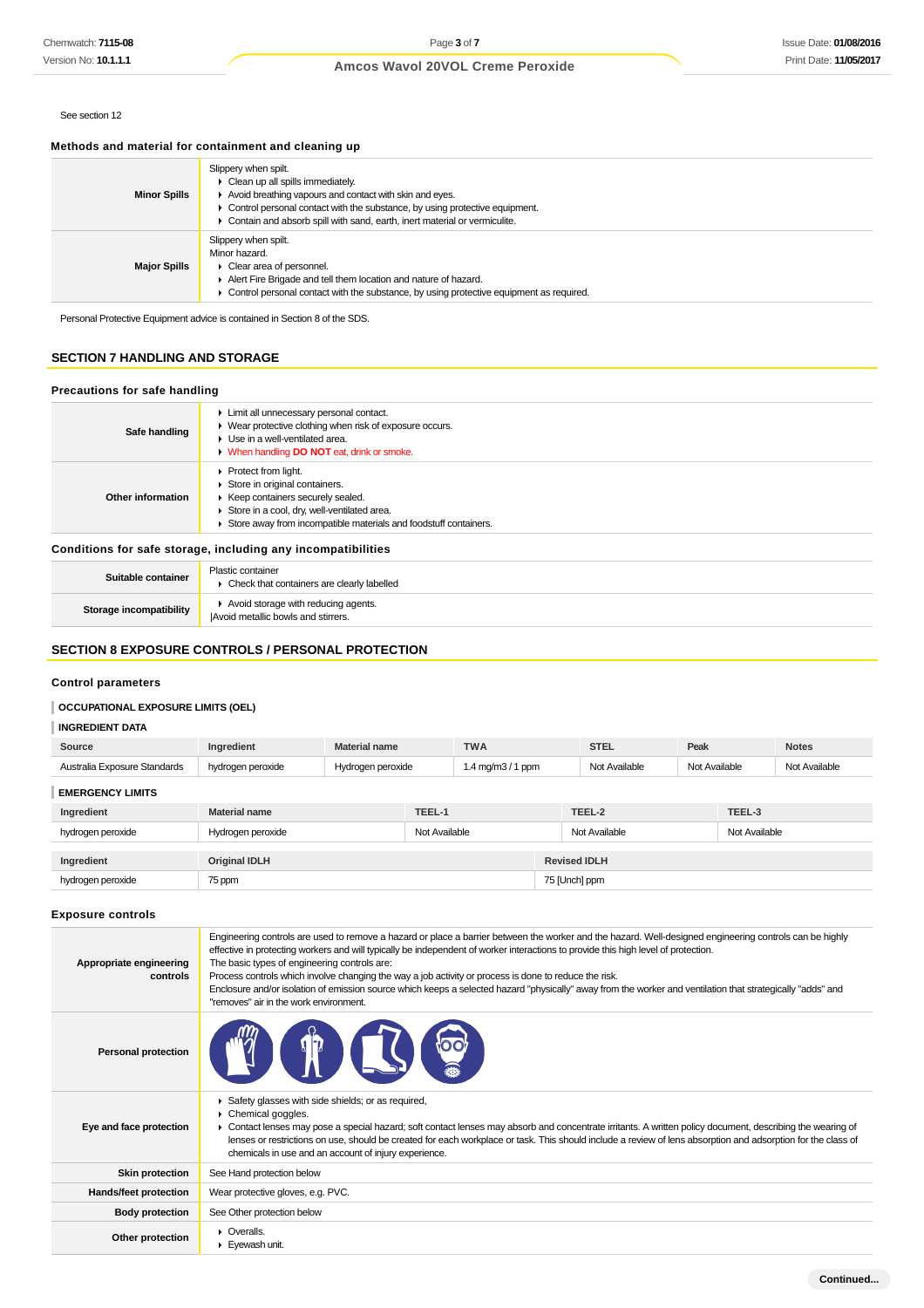## See section 12

## **Methods and material for containment and cleaning up**

| <b>Minor Spills</b> | Slippery when spilt.<br>• Clean up all spills immediately.<br>Avoid breathing vapours and contact with skin and eyes.<br>• Control personal contact with the substance, by using protective equipment.<br>Contain and absorb spill with sand, earth, inert material or vermiculite. |
|---------------------|-------------------------------------------------------------------------------------------------------------------------------------------------------------------------------------------------------------------------------------------------------------------------------------|
| <b>Major Spills</b> | Slippery when spilt.<br>Minor hazard.<br>Clear area of personnel.<br>Alert Fire Brigade and tell them location and nature of hazard.<br>Control personal contact with the substance, by using protective equipment as required.                                                     |

Personal Protective Equipment advice is contained in Section 8 of the SDS.

## **SECTION 7 HANDLING AND STORAGE**

#### **Precautions for safe handling**

| Safe handling     | Limit all unnecessary personal contact.<br>• Wear protective clothing when risk of exposure occurs.<br>Use in a well-ventilated area.<br>• When handling <b>DO NOT</b> eat, drink or smoke.                                    |
|-------------------|--------------------------------------------------------------------------------------------------------------------------------------------------------------------------------------------------------------------------------|
| Other information | $\triangleright$ Protect from light.<br>Store in original containers.<br>▶ Keep containers securely sealed.<br>Store in a cool, dry, well-ventilated area.<br>Store away from incompatible materials and foodstuff containers. |

#### **Conditions for safe storage, including any incompatibilities**

| Suitable container      | <b>Plastic container</b><br>Check that containers are clearly labelled     |
|-------------------------|----------------------------------------------------------------------------|
| Storage incompatibility | Avoid storage with reducing agents.<br>IAvoid metallic bowls and stirrers. |

#### **SECTION 8 EXPOSURE CONTROLS / PERSONAL PROTECTION**

#### **Control parameters**

## **OCCUPATIONAL EXPOSURE LIMITS (OEL)**

#### **INGREDIENT DATA**

| Source                                                    | Ingredient           | <b>Material name</b> |               | <b>TWA</b>         |               | <b>STEL</b>   | Peak          |               | <b>Notes</b>  |
|-----------------------------------------------------------|----------------------|----------------------|---------------|--------------------|---------------|---------------|---------------|---------------|---------------|
| Australia Exposure Standards                              | hydrogen peroxide    | Hydrogen peroxide    |               | 1.4 mg/m $3/1$ ppm |               | Not Available | Not Available |               | Not Available |
| <b>EMERGENCY LIMITS</b>                                   |                      |                      |               |                    |               |               |               |               |               |
| Ingredient                                                | <b>Material name</b> |                      | TEEL-1        |                    |               | TEEL-2        |               | TEEL-3        |               |
| hydrogen peroxide                                         | Hydrogen peroxide    |                      | Not Available |                    |               | Not Available |               | Not Available |               |
| <b>Revised IDLH</b><br><b>Original IDLH</b><br>Ingredient |                      |                      |               |                    |               |               |               |               |               |
| hydrogen peroxide                                         | 75 ppm               |                      |               |                    | 75 [Unch] ppm |               |               |               |               |

#### **Exposure controls**

| Appropriate engineering<br>controls | Engineering controls are used to remove a hazard or place a barrier between the worker and the hazard. Well-designed engineering controls can be highly<br>effective in protecting workers and will typically be independent of worker interactions to provide this high level of protection.<br>The basic types of engineering controls are:<br>Process controls which involve changing the way a job activity or process is done to reduce the risk.<br>Enclosure and/or isolation of emission source which keeps a selected hazard "physically" away from the worker and ventilation that strategically "adds" and<br>"removes" air in the work environment. |
|-------------------------------------|-----------------------------------------------------------------------------------------------------------------------------------------------------------------------------------------------------------------------------------------------------------------------------------------------------------------------------------------------------------------------------------------------------------------------------------------------------------------------------------------------------------------------------------------------------------------------------------------------------------------------------------------------------------------|
| <b>Personal protection</b>          | VIA                                                                                                                                                                                                                                                                                                                                                                                                                                                                                                                                                                                                                                                             |
| Eye and face protection             | Safety glasses with side shields; or as required,<br>Chemical goggles.<br>Þ.<br>• Contact lenses may pose a special hazard; soft contact lenses may absorb and concentrate irritants. A written policy document, describing the wearing of<br>lenses or restrictions on use, should be created for each workplace or task. This should include a review of lens absorption and adsorption for the class of<br>chemicals in use and an account of injury experience.                                                                                                                                                                                             |
| <b>Skin protection</b>              | See Hand protection below                                                                                                                                                                                                                                                                                                                                                                                                                                                                                                                                                                                                                                       |
| Hands/feet protection               | Wear protective gloves, e.g. PVC.                                                                                                                                                                                                                                                                                                                                                                                                                                                                                                                                                                                                                               |
| <b>Body protection</b>              | See Other protection below                                                                                                                                                                                                                                                                                                                                                                                                                                                                                                                                                                                                                                      |
| Other protection                    | $\triangleright$ Overalls.<br>Eyewash unit.                                                                                                                                                                                                                                                                                                                                                                                                                                                                                                                                                                                                                     |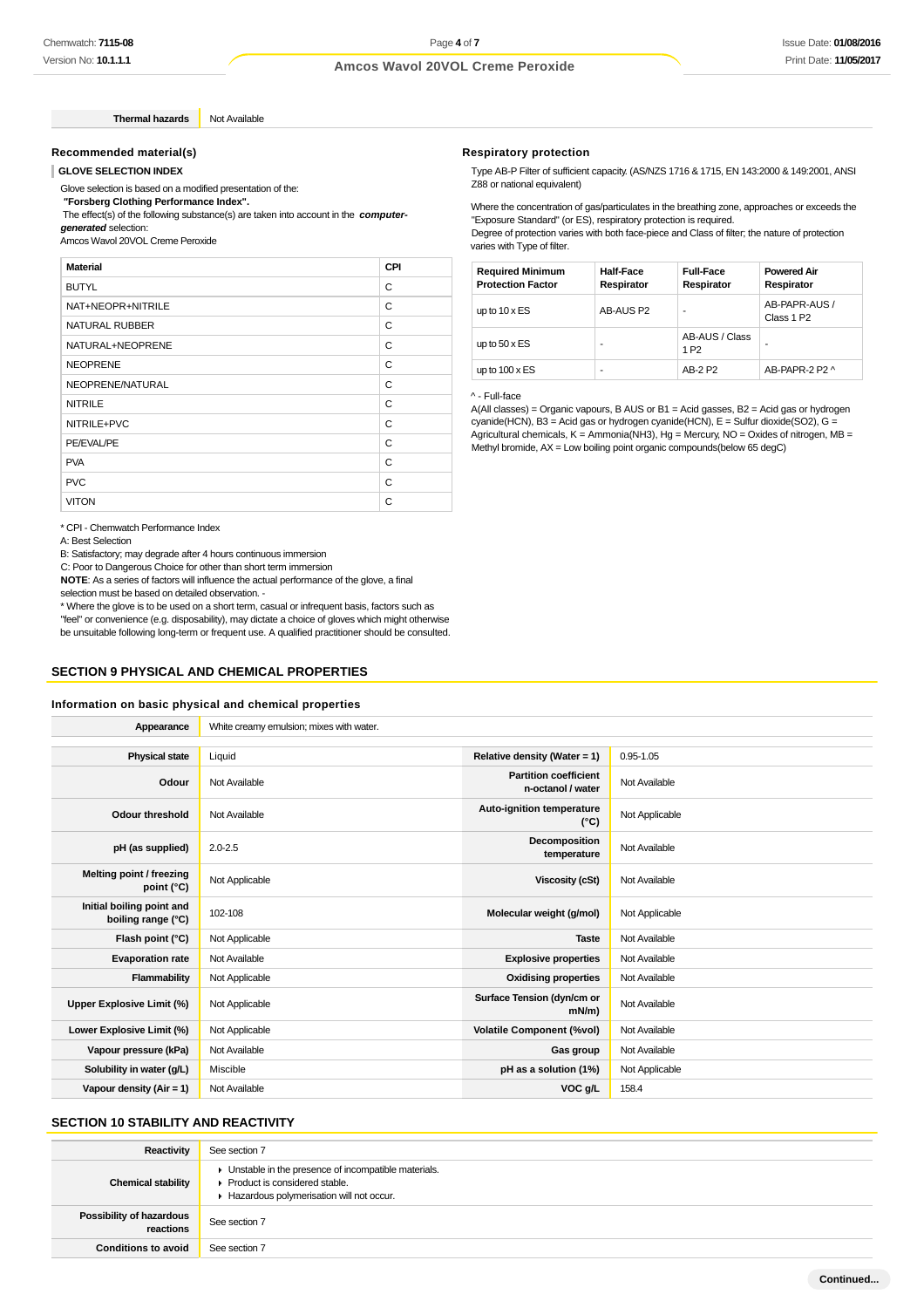**Thermal hazards** Not Available

#### **Recommended material(s)**

#### **GLOVE SELECTION INDEX**

Glove selection is based on a modified presentation of the:

 **"Forsberg Clothing Performance Index".**

The effect(s) of the following substance(s) are taken into account in the **computer-**

**generated** selection: Amcos Wavol 20VOL Creme Peroxide

| <b>Material</b>       | CPI |
|-----------------------|-----|
| <b>BUTYL</b>          | C   |
| NAT+NEOPR+NITRILE     | C   |
| <b>NATURAL RUBBER</b> | C   |
| NATURAL+NEOPRENE      | C   |
| <b>NEOPRENE</b>       | C   |
| NEOPRENE/NATURAL      | C   |
| <b>NITRILE</b>        | C   |
| NITRILE+PVC           | C   |
| PE/EVAL/PE            | C   |
| <b>PVA</b>            | C   |
| <b>PVC</b>            | C   |
| <b>VITON</b>          | C   |

\* CPI - Chemwatch Performance Index

A: Best Selection

B: Satisfactory; may degrade after 4 hours continuous immersion

C: Poor to Dangerous Choice for other than short term immersion

**NOTE**: As a series of factors will influence the actual performance of the glove, a final selection must be based on detailed observation. -

\* Where the glove is to be used on a short term, casual or infrequent basis, factors such as

"feel" or convenience (e.g. disposability), may dictate a choice of gloves which might otherwise be unsuitable following long-term or frequent use. A qualified practitioner should be consulted.

#### **SECTION 9 PHYSICAL AND CHEMICAL PROPERTIES**

#### **Information on basic physical and chemical properties**

| Appearance                                      | White creamy emulsion; mixes with water. |                                                   |                |
|-------------------------------------------------|------------------------------------------|---------------------------------------------------|----------------|
|                                                 |                                          |                                                   |                |
| <b>Physical state</b>                           | Liquid                                   | Relative density (Water = 1)                      | $0.95 - 1.05$  |
| Odour                                           | Not Available                            | <b>Partition coefficient</b><br>n-octanol / water | Not Available  |
| Odour threshold                                 | Not Available                            | Auto-ignition temperature<br>$(^{\circ}C)$        | Not Applicable |
| pH (as supplied)                                | $2.0 - 2.5$                              | Decomposition<br>temperature                      | Not Available  |
| Melting point / freezing<br>point $(^{\circ}C)$ | Not Applicable                           | <b>Viscosity (cSt)</b>                            | Not Available  |
| Initial boiling point and<br>boiling range (°C) | 102-108                                  | Molecular weight (g/mol)                          | Not Applicable |
| Flash point (°C)                                | Not Applicable                           | <b>Taste</b>                                      | Not Available  |
| <b>Evaporation rate</b>                         | Not Available                            | <b>Explosive properties</b>                       | Not Available  |
| Flammability                                    | Not Applicable                           | <b>Oxidising properties</b>                       | Not Available  |
| Upper Explosive Limit (%)                       | Not Applicable                           | Surface Tension (dyn/cm or<br>$mN/m$ )            | Not Available  |
| Lower Explosive Limit (%)                       | Not Applicable                           | <b>Volatile Component (%vol)</b>                  | Not Available  |
| Vapour pressure (kPa)                           | Not Available                            | Gas group                                         | Not Available  |
| Solubility in water (g/L)                       | Miscible                                 | pH as a solution (1%)                             | Not Applicable |
| Vapour density ( $Air = 1$ )                    | Not Available                            | VOC g/L                                           | 158.4          |

## **SECTION 10 STABILITY AND REACTIVITY**

| Reactivity                            | See section 7                                                                                                                                            |
|---------------------------------------|----------------------------------------------------------------------------------------------------------------------------------------------------------|
| <b>Chemical stability</b>             | • Unstable in the presence of incompatible materials.<br>$\blacktriangleright$ Product is considered stable.<br>Hazardous polymerisation will not occur. |
| Possibility of hazardous<br>reactions | See section 7                                                                                                                                            |
| <b>Conditions to avoid</b>            | See section 7                                                                                                                                            |

#### **Respiratory protection**

Type AB-P Filter of sufficient capacity. (AS/NZS 1716 & 1715, EN 143:2000 & 149:2001, ANSI Z88 or national equivalent)

Where the concentration of gas/particulates in the breathing zone, approaches or exceeds the "Exposure Standard" (or ES), respiratory protection is required. Degree of protection varies with both face-piece and Class of filter; the nature of protection varies with Type of filter.

| <b>Required Minimum</b><br><b>Protection Factor</b> | <b>Half-Face</b><br>Respirator | <b>Full-Face</b><br>Respirator     | <b>Powered Air</b><br>Respirator        |
|-----------------------------------------------------|--------------------------------|------------------------------------|-----------------------------------------|
| up to $10 \times ES$                                | AB-AUS P2                      | ۰                                  | AB-PAPR-AUS /<br>Class 1 P <sub>2</sub> |
| up to $50 \times ES$                                |                                | AB-AUS / Class<br>1 P <sub>2</sub> | ۰                                       |
| up to $100 \times ES$                               | ۰                              | AB-2 P2                            | AB-PAPR-2 P2 ^                          |

^ - Full-face

A(All classes) = Organic vapours, B AUS or B1 = Acid gasses, B2 = Acid gas or hydrogen cyanide(HCN), B3 = Acid gas or hydrogen cyanide(HCN), E = Sulfur dioxide(SO2), G = Agricultural chemicals, K = Ammonia(NH3), Hg = Mercury, NO = Oxides of nitrogen, MB = Methyl bromide, AX = Low boiling point organic compounds(below 65 degC)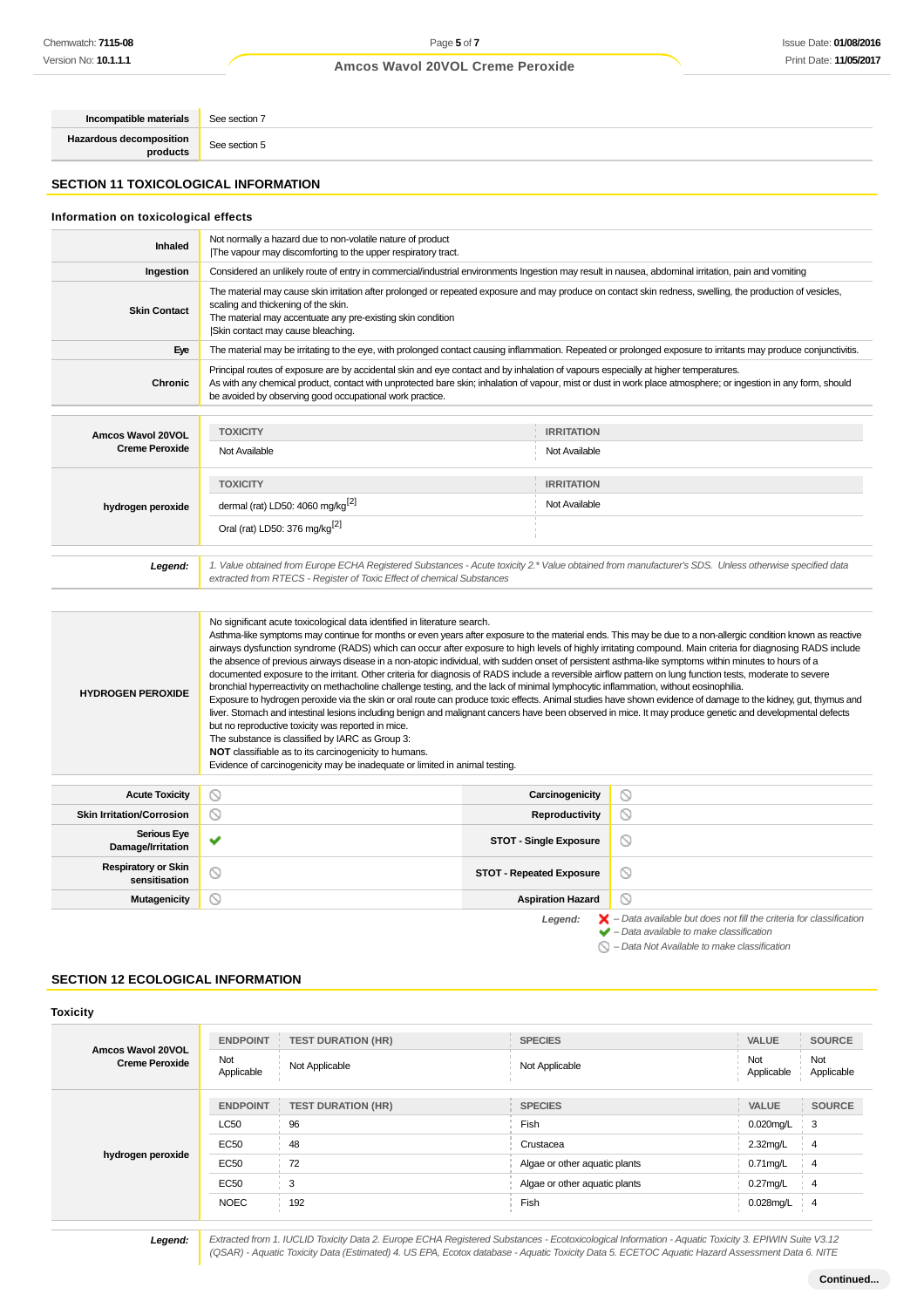**Incompatible materials** See section 7 **Hazardous decomposition products** See section 5

**SECTION 11 TOXICOLOGICAL INFORMATION**

#### **Information on toxicological effects Inhaled** Not normally a hazard due to non-volatile nature of product |The vapour may discomforting to the upper respiratory tract. **Ingestion** Considered an unlikely route of entry in commercial/industrial environments Ingestion may result in nausea, abdominal irritation, pain and vomiting The material may cause skin irritation after prolonged or repeated exposure and may produce on contact skin redness, swelling, the production of vesicles, scaling and thickening of the skin. **Skin Contact** The material may accentuate any pre-existing skin condition |Skin contact may cause bleaching. **Eye** The material may be irritating to the eye, with prolonged contact causing inflammation. Repeated or prolonged exposure to irritants may produce conjunctivitis. Principal routes of exposure are by accidental skin and eye contact and by inhalation of vapours especially at higher temperatures. **Chronic** As with any chemical product, contact with unprotected bare skin; inhalation of vapour, mist or dust in work place atmosphere; or ingestion in any form, should be avoided by observing good occupational work practice. **TOXICITY IRRITATION Amcos Wavol 20VOL Creme Peroxide** Not Available Not Available **TOXICITY IRRITATION** dermal (rat) LD50:  $4060 \text{ mg/kg}^{[2]}$  Not Available **hydrogen peroxide** Oral (rat) LD50: 376 mg/kg[2] **Legend:** 1. Value obtained from Europe ECHA Registered Substances - Acute toxicity 2.\* Value obtained from manufacturer's SDS. Unless otherwise specified data extracted from RTECS - Register of Toxic Effect of chemical Substances No significant acute toxicological data identified in literature search. Asthma-like symptoms may continue for months or even years after exposure to the material ends. This may be due to a non-allergic condition known as reactive airways dysfunction syndrome (RADS) which can occur after exposure to high levels of highly irritating compound. Main criteria for diagnosing RADS include the absence of previous airways disease in a non-atopic individual, with sudden onset of persistent asthma-like symptoms within minutes to hours of a documented exposure to the irritant. Other criteria for diagnosis of RADS include a reversible airflow pattern on lung function tests, moderate to severe bronchial hyperreactivity on methacholine challenge testing, and the lack of minimal lymphocytic inflammation, without eosinophilia. **HYDROGEN PEROXIDE** Exposure to hydrogen peroxide via the skin or oral route can produce toxic effects. Animal studies have shown evidence of damage to the kidney, gut, thymus and liver. Stomach and intestinal lesions including benign and malignant cancers have been observed in mice. It may produce genetic and developmental defects but no reproductive toxicity was reported in mice. The substance is classified by IARC as Group 3: **NOT** classifiable as to its carcinogenicity to humans. Evidence of carcinogenicity may be inadequate or limited in animal testing. **Acute Toxicity Carcinogenicity**  $\circ$ **Skin Irritation/Corrosion Reproductivity**  $\circ$ **Serious Eye**  $\circ$ **Damage/Irritation Serious Eye STOT - Single Exposure Respiratory or Skin** ratory or Skin STOT - Repeated Exposure<br>sensitisation STOT - Repeated Exposure  $\circ$ **Mutagenicity Aspiration Hazard**  $\circlearrowright$ Legend:  $\mathsf{X}$  – Data available but does not fill the criteria for classification

 $\varnothing$ 

– Data available to make classification

– Data Not Available to make classification

#### **SECTION 12 ECOLOGICAL INFORMATION**

|                                            | <b>ENDPOINT</b>   | <b>TEST DURATION (HR)</b> | <b>SPECIES</b>                | VALUE             | <b>SOURCE</b>     |
|--------------------------------------------|-------------------|---------------------------|-------------------------------|-------------------|-------------------|
| Amcos Wavol 20VOL<br><b>Creme Peroxide</b> | Not<br>Applicable | Not Applicable            | Not Applicable                | Not<br>Applicable | Not<br>Applicable |
|                                            | <b>ENDPOINT</b>   | <b>TEST DURATION (HR)</b> | <b>SPECIES</b>                | <b>VALUE</b>      | <b>SOURCE</b>     |
| hydrogen peroxide                          | <b>LC50</b>       | 96                        | Fish                          | $0.020$ mg/L      | -3                |
|                                            | <b>EC50</b>       | 48                        | Crustacea                     | 2.32mg/L          | $\overline{4}$    |
|                                            | <b>EC50</b>       | 72                        | Algae or other aquatic plants | $0.71$ mg/L       | 4                 |
|                                            | <b>EC50</b>       | 3                         | Algae or other aquatic plants | $0.27$ mg/L       | 4                 |
|                                            | <b>NOEC</b>       | 192                       | Fish                          | 0.028mg/L         | $\overline{4}$    |
|                                            |                   |                           |                               |                   |                   |

**Legend:** Extracted from 1. IUCLID Toxicity Data 2. Europe ECHA Registered Substances - Ecotoxicological Information - Aquatic Toxicity 3. EPIWIN Suite V3.12 (QSAR) - Aquatic Toxicity Data (Estimated) 4. US EPA, Ecotox database - Aquatic Toxicity Data 5. ECETOC Aquatic Hazard Assessment Data 6. NITE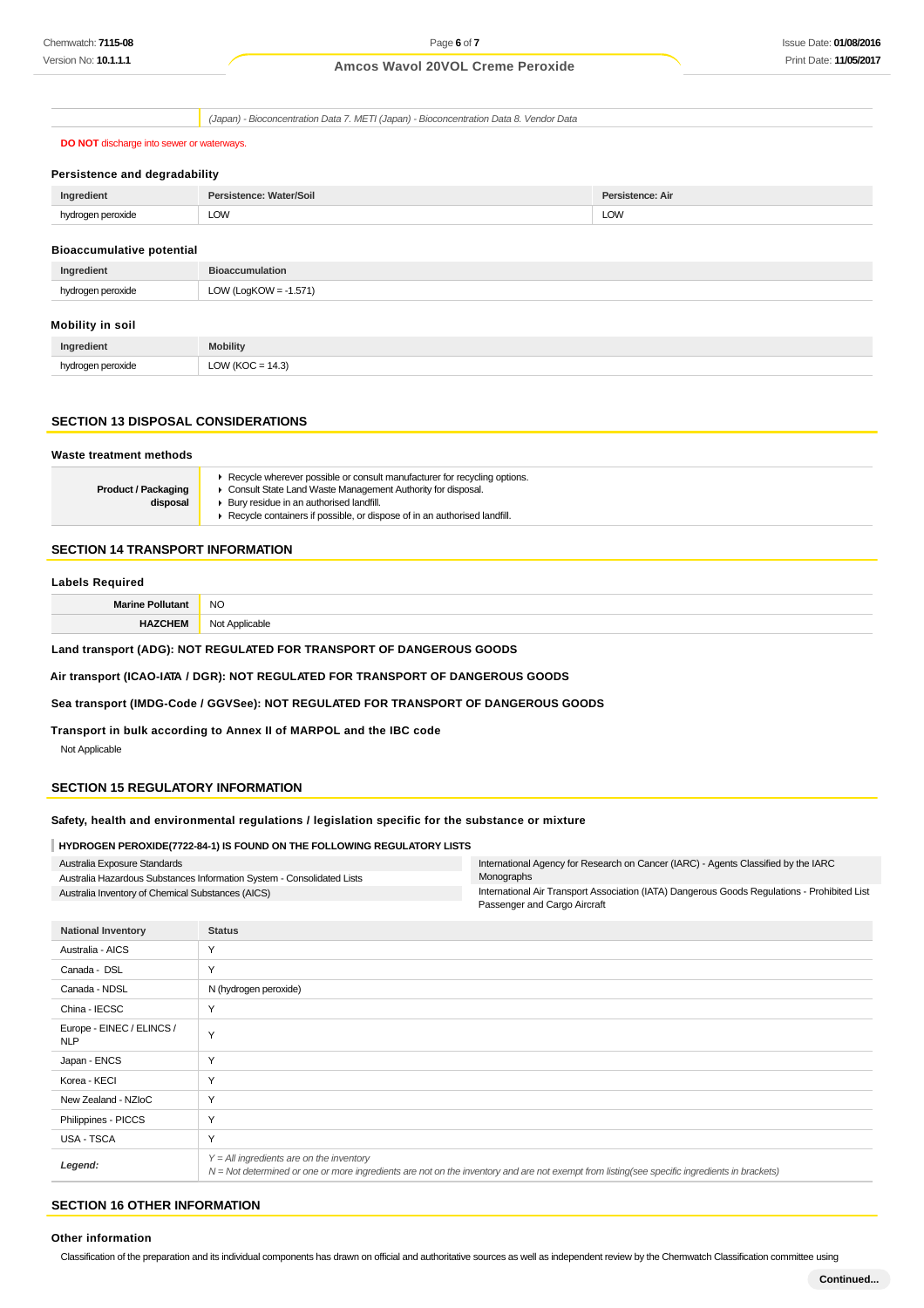(Japan) - Bioconcentration Data 7. METI (Japan) - Bioconcentration Data 8. Vendor Data

**DO NOT** discharge into sewer or waterways.

#### **Persistence and degradability**

| Ingredient           | <b>Persistence: Water/Soil</b> | <b>Persistence: Air</b> |
|----------------------|--------------------------------|-------------------------|
| hydrogen peroxide    |                                |                         |
| $\sim$ $\sim$ $\sim$ | LOW                            | LOW                     |

### **Bioaccumulative potential**

| Ingredient        | <b>Bioaccumulation</b> |
|-------------------|------------------------|
| hydrogen peroxide | LOW (LogKOW = -1.571)  |
| Mobility in soil  |                        |

#### **Mobility in soil**

| Ingredient    | <b>Mobility</b>                                                    |
|---------------|--------------------------------------------------------------------|
| peroxide<br>. | $M$ (KC <sup><math>\sim</math></sup><br>$\bigcap M$<br>$-143$<br>∽ |

#### **SECTION 13 DISPOSAL CONSIDERATIONS**

#### **Waste treatment methods Product / Packaging disposal** Recycle wherever possible or consult manufacturer for recycling options. Consult State Land Waste Management Authority for disposal.  $\blacktriangleright$  Bury residue in an authorised landfill. ▶ Recycle containers if possible, or dispose of in an authorised landfill.

#### **SECTION 14 TRANSPORT INFORMATION**

#### **Labels Required**

**Marine Pollutant** NO

**HAZCHEM** Not Applicable

#### **Land transport (ADG): NOT REGULATED FOR TRANSPORT OF DANGEROUS GOODS**

**Air transport (ICAO-IATA / DGR): NOT REGULATED FOR TRANSPORT OF DANGEROUS GOODS**

#### **Sea transport (IMDG-Code / GGVSee): NOT REGULATED FOR TRANSPORT OF DANGEROUS GOODS**

**Transport in bulk according to Annex II of MARPOL and the IBC code** Not Applicable

#### **SECTION 15 REGULATORY INFORMATION**

#### **Safety, health and environmental regulations / legislation specific for the substance or mixture**

#### **HYDROGEN PEROXIDE(7722-84-1) IS FOUND ON THE FOLLOWING REGULATORY LISTS**

| Australia Exposure Standards                                           | International Agency for Research on Cancer (IARC) - Agents Classified by the IARC           |
|------------------------------------------------------------------------|----------------------------------------------------------------------------------------------|
| Australia Hazardous Substances Information System - Consolidated Lists | Monographs                                                                                   |
| Australia Inventory of Chemical Substances (AICS)                      | International Air Transport Association (IATA) Dangerous Goods Regulations - Prohibited List |
|                                                                        | Passenger and Cargo Aircraft                                                                 |

| <b>National Inventory</b>               | <b>Status</b>                                                                                                                                                                              |
|-----------------------------------------|--------------------------------------------------------------------------------------------------------------------------------------------------------------------------------------------|
| Australia - AICS                        | Y                                                                                                                                                                                          |
| Canada - DSL                            | Y                                                                                                                                                                                          |
| Canada - NDSL                           | N (hydrogen peroxide)                                                                                                                                                                      |
| China - IECSC                           | Y                                                                                                                                                                                          |
| Europe - EINEC / ELINCS /<br><b>NLP</b> | Y                                                                                                                                                                                          |
| Japan - ENCS                            | Y                                                                                                                                                                                          |
| Korea - KECI                            | Y                                                                                                                                                                                          |
| New Zealand - NZIoC                     | Y                                                                                                                                                                                          |
| Philippines - PICCS                     | Y                                                                                                                                                                                          |
| USA - TSCA                              | Y                                                                                                                                                                                          |
| Legend:                                 | $Y = All$ ingredients are on the inventory<br>N = Not determined or one or more ingredients are not on the inventory and are not exempt from listing(see specific ingredients in brackets) |
|                                         |                                                                                                                                                                                            |

## **SECTION 16 OTHER INFORMATION**

#### **Other information**

Classification of the preparation and its individual components has drawn on official and authoritative sources as well as independent review by the Chemwatch Classification committee using